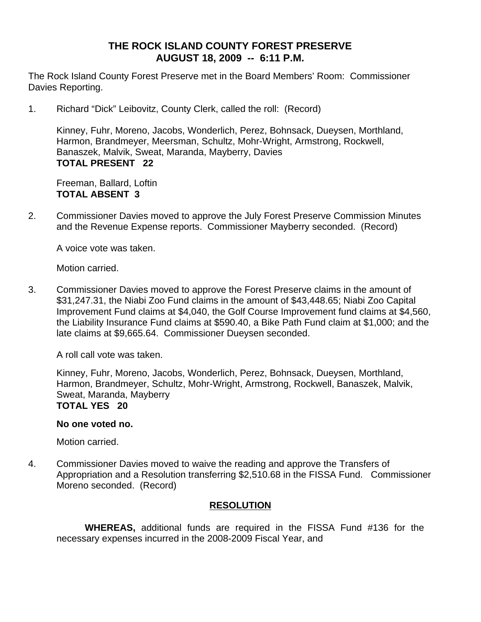# **THE ROCK ISLAND COUNTY FOREST PRESERVE AUGUST 18, 2009 -- 6:11 P.M.**

The Rock Island County Forest Preserve met in the Board Members' Room: Commissioner Davies Reporting.

1. Richard "Dick" Leibovitz, County Clerk, called the roll: (Record)

Kinney, Fuhr, Moreno, Jacobs, Wonderlich, Perez, Bohnsack, Dueysen, Morthland, Harmon, Brandmeyer, Meersman, Schultz, Mohr-Wright, Armstrong, Rockwell, Banaszek, Malvik, Sweat, Maranda, Mayberry, Davies **TOTAL PRESENT 22** 

Freeman, Ballard, Loftin **TOTAL ABSENT 3**

2. Commissioner Davies moved to approve the July Forest Preserve Commission Minutes and the Revenue Expense reports. Commissioner Mayberry seconded. (Record)

A voice vote was taken.

Motion carried.

3. Commissioner Davies moved to approve the Forest Preserve claims in the amount of \$31,247.31, the Niabi Zoo Fund claims in the amount of \$43,448.65; Niabi Zoo Capital Improvement Fund claims at \$4,040, the Golf Course Improvement fund claims at \$4,560, the Liability Insurance Fund claims at \$590.40, a Bike Path Fund claim at \$1,000; and the late claims at \$9,665.64. Commissioner Dueysen seconded.

A roll call vote was taken.

Kinney, Fuhr, Moreno, Jacobs, Wonderlich, Perez, Bohnsack, Dueysen, Morthland, Harmon, Brandmeyer, Schultz, Mohr-Wright, Armstrong, Rockwell, Banaszek, Malvik, Sweat, Maranda, Mayberry **TOTAL YES 20** 

#### **No one voted no.**

Motion carried.

4. Commissioner Davies moved to waive the reading and approve the Transfers of Appropriation and a Resolution transferring \$2,510.68 in the FISSA Fund. Commissioner Moreno seconded. (Record)

#### **RESOLUTION**

 **WHEREAS,** additional funds are required in the FISSA Fund #136 for the necessary expenses incurred in the 2008-2009 Fiscal Year, and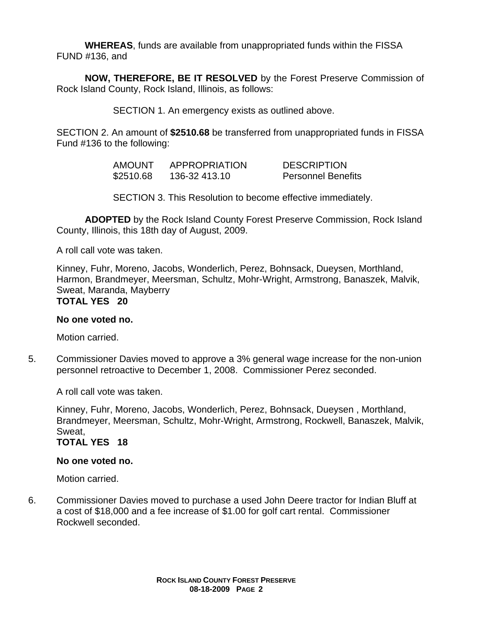**WHEREAS**, funds are available from unappropriated funds within the FISSA FUND #136, and

**NOW, THEREFORE, BE IT RESOLVED** by the Forest Preserve Commission of Rock Island County, Rock Island, Illinois, as follows:

SECTION 1. An emergency exists as outlined above.

SECTION 2. An amount of **\$2510.68** be transferred from unappropriated funds in FISSA Fund #136 to the following:

> AMOUNT APPROPRIATION DESCRIPTION \$2510.68 136-32 413.10 Personnel Benefits

SECTION 3. This Resolution to become effective immediately.

**ADOPTED** by the Rock Island County Forest Preserve Commission, Rock Island County, Illinois, this 18th day of August, 2009.

A roll call vote was taken.

Kinney, Fuhr, Moreno, Jacobs, Wonderlich, Perez, Bohnsack, Dueysen, Morthland, Harmon, Brandmeyer, Meersman, Schultz, Mohr-Wright, Armstrong, Banaszek, Malvik, Sweat, Maranda, Mayberry **TOTAL YES 20** 

# **No one voted no.**

Motion carried.

5. Commissioner Davies moved to approve a 3% general wage increase for the non-union personnel retroactive to December 1, 2008. Commissioner Perez seconded.

A roll call vote was taken.

Kinney, Fuhr, Moreno, Jacobs, Wonderlich, Perez, Bohnsack, Dueysen , Morthland, Brandmeyer, Meersman, Schultz, Mohr-Wright, Armstrong, Rockwell, Banaszek, Malvik, Sweat,

# **TOTAL YES 18**

#### **No one voted no.**

Motion carried.

6. Commissioner Davies moved to purchase a used John Deere tractor for Indian Bluff at a cost of \$18,000 and a fee increase of \$1.00 for golf cart rental. Commissioner Rockwell seconded.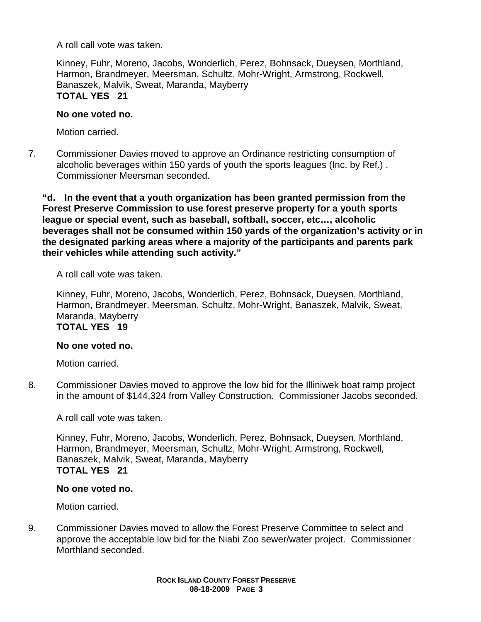A roll call vote was taken.

Kinney, Fuhr, Moreno, Jacobs, Wonderlich, Perez, Bohnsack, Dueysen, Morthland, Harmon, Brandmeyer, Meersman, Schultz, Mohr-Wright, Armstrong, Rockwell, Banaszek, Malvik, Sweat, Maranda, Mayberry **TOTAL YES 21** 

#### **No one voted no.**

Motion carried.

7. Commissioner Davies moved to approve an Ordinance restricting consumption of alcoholic beverages within 150 yards of youth the sports leagues (Inc. by Ref.) . Commissioner Meersman seconded.

**"d. In the event that a youth organization has been granted permission from the Forest Preserve Commission to use forest preserve property for a youth sports league or special event, such as baseball, softball, soccer, etc…, alcoholic beverages shall not be consumed within 150 yards of the organization's activity or in the designated parking areas where a majority of the participants and parents park their vehicles while attending such activity."** 

A roll call vote was taken.

Kinney, Fuhr, Moreno, Jacobs, Wonderlich, Perez, Bohnsack, Dueysen, Morthland, Harmon, Brandmeyer, Meersman, Schultz, Mohr-Wright, Banaszek, Malvik, Sweat, Maranda, Mayberry **TOTAL YES 19** 

# **No one voted no.**

Motion carried.

8. Commissioner Davies moved to approve the low bid for the Illiniwek boat ramp project in the amount of \$144,324 from Valley Construction. Commissioner Jacobs seconded.

A roll call vote was taken.

Kinney, Fuhr, Moreno, Jacobs, Wonderlich, Perez, Bohnsack, Dueysen, Morthland, Harmon, Brandmeyer, Meersman, Schultz, Mohr-Wright, Armstrong, Rockwell, Banaszek, Malvik, Sweat, Maranda, Mayberry **TOTAL YES 21** 

#### **No one voted no.**

Motion carried.

9. Commissioner Davies moved to allow the Forest Preserve Committee to select and approve the acceptable low bid for the Niabi Zoo sewer/water project. Commissioner Morthland seconded.